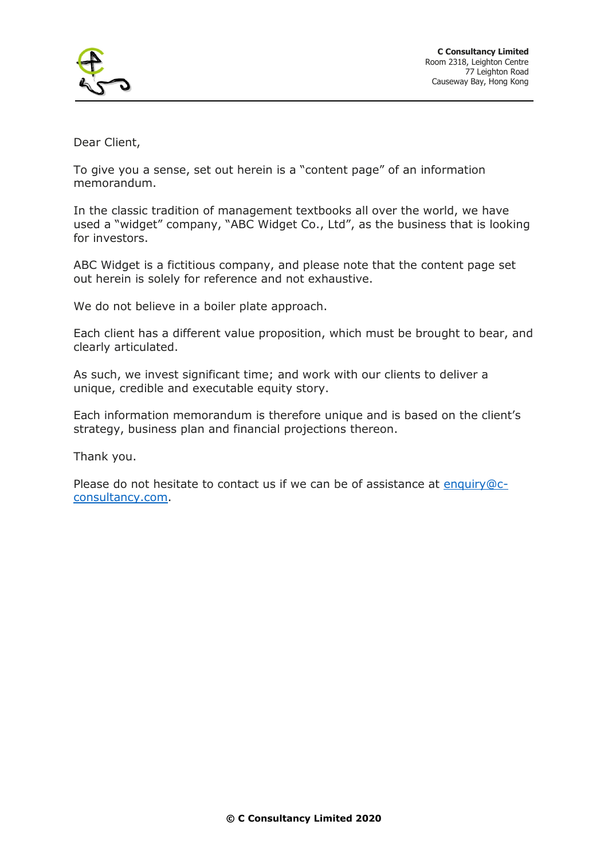

Dear Client,

To give you a sense, set out herein is a "content page" of an information memorandum.

In the classic tradition of management textbooks all over the world, we have used a "widget" company, "ABC Widget Co., Ltd", as the business that is looking for investors.

ABC Widget is a fictitious company, and please note that the content page set out herein is solely for reference and not exhaustive.

We do not believe in a boiler plate approach.

Each client has a different value proposition, which must be brought to bear, and clearly articulated.

As such, we invest significant time; and work with our clients to deliver a unique, credible and executable equity story.

Each information memorandum is therefore unique and is based on the client's strategy, business plan and financial projections thereon.

Thank you.

Please do not hesitate to contact us if we can be of assistance at [enquiry@c](mailto:enquiry@c-consultancy.com)[consultancy.com.](mailto:enquiry@c-consultancy.com)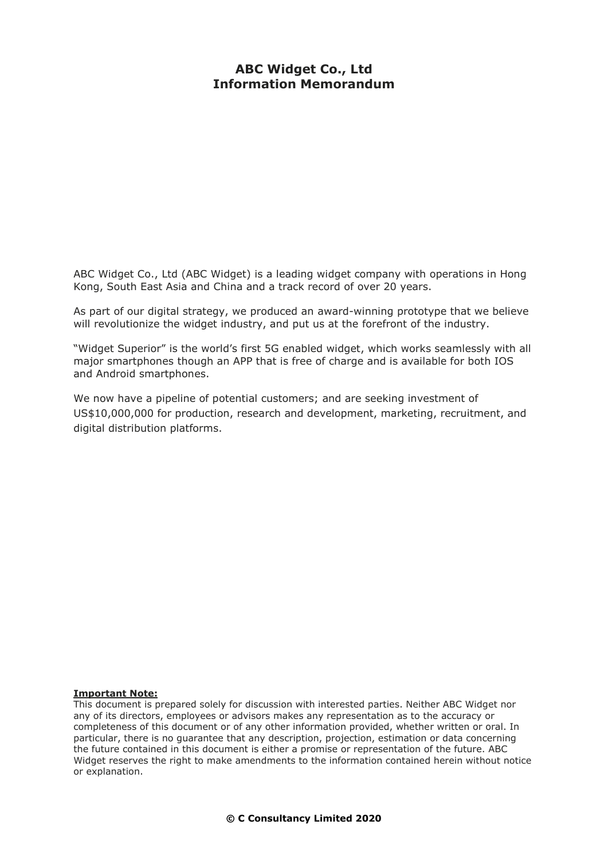## **ABC Widget Co., Ltd Information Memorandum**

ABC Widget Co., Ltd (ABC Widget) is a leading widget company with operations in Hong Kong, South East Asia and China and a track record of over 20 years.

As part of our digital strategy, we produced an award-winning prototype that we believe will revolutionize the widget industry, and put us at the forefront of the industry.

"Widget Superior" is the world's first 5G enabled widget, which works seamlessly with all major smartphones though an APP that is free of charge and is available for both IOS and Android smartphones.

We now have a pipeline of potential customers; and are seeking investment of US\$10,000,000 for production, research and development, marketing, recruitment, and digital distribution platforms.

#### **Important Note:**

This document is prepared solely for discussion with interested parties. Neither ABC Widget nor any of its directors, employees or advisors makes any representation as to the accuracy or completeness of this document or of any other information provided, whether written or oral. In particular, there is no guarantee that any description, projection, estimation or data concerning the future contained in this document is either a promise or representation of the future. ABC Widget reserves the right to make amendments to the information contained herein without notice or explanation.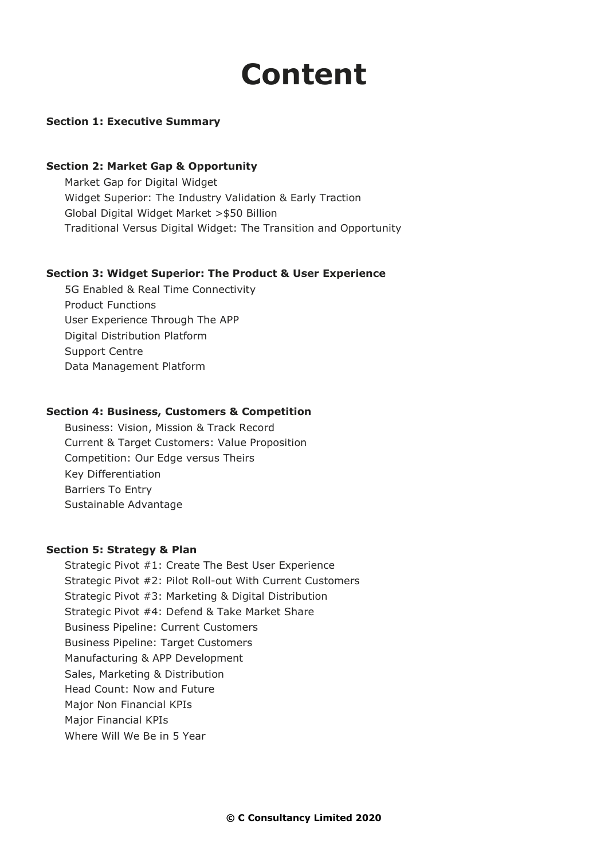# **Content**

#### **Section 1: Executive Summary**

#### **Section 2: Market Gap & Opportunity**

Market Gap for Digital Widget Widget Superior: The Industry Validation & Early Traction Global Digital Widget Market >\$50 Billion Traditional Versus Digital Widget: The Transition and Opportunity

#### **Section 3: Widget Superior: The Product & User Experience**

5G Enabled & Real Time Connectivity Product Functions User Experience Through The APP Digital Distribution Platform Support Centre Data Management Platform

#### **Section 4: Business, Customers & Competition**

Business: Vision, Mission & Track Record Current & Target Customers: Value Proposition Competition: Our Edge versus Theirs Key Differentiation Barriers To Entry Sustainable Advantage

#### **Section 5: Strategy & Plan**

Strategic Pivot #1: Create The Best User Experience Strategic Pivot #2: Pilot Roll-out With Current Customers Strategic Pivot #3: Marketing & Digital Distribution Strategic Pivot #4: Defend & Take Market Share Business Pipeline: Current Customers Business Pipeline: Target Customers Manufacturing & APP Development Sales, Marketing & Distribution Head Count: Now and Future Major Non Financial KPIs Major Financial KPIs Where Will We Be in 5 Year